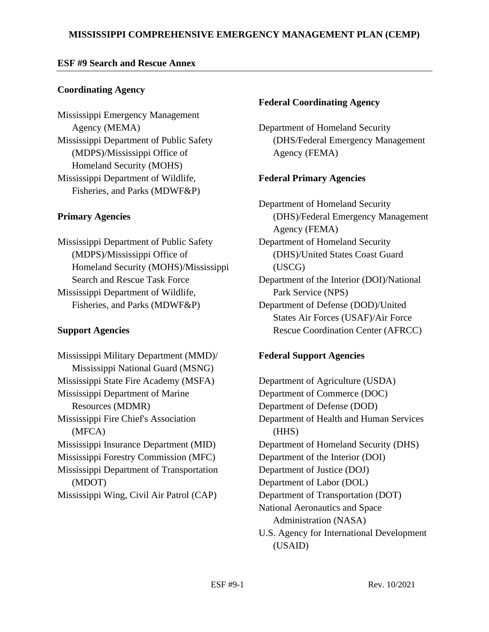## **ESF #9 Search and Rescue Annex**

## **Coordinating Agency**

Mississippi Emergency Management Agency (MEMA) Mississippi Department of Public Safety (MDPS)/Mississippi Office of Homeland Security (MOHS) Mississippi Department of Wildlife, Fisheries, and Parks (MDWF&P)

# **Primary Agencies**

Mississippi Department of Public Safety (MDPS)/Mississippi Office of Homeland Security (MOHS)/Mississippi Search and Rescue Task Force Mississippi Department of Wildlife, Fisheries, and Parks (MDWF&P)

### **Support Agencies**

Mississippi Military Department (MMD)/ Mississippi National Guard (MSNG) Mississippi State Fire Academy (MSFA) Mississippi Department of Marine Resources (MDMR) Mississippi Fire Chief's Association (MFCA) Mississippi Insurance Department (MID) Mississippi Forestry Commission (MFC) Mississippi Department of Transportation (MDOT) Mississippi Wing, Civil Air Patrol (CAP)

### **Federal Coordinating Agency**

Department of Homeland Security (DHS/Federal Emergency Management Agency (FEMA)

## **Federal Primary Agencies**

Department of Homeland Security (DHS)/Federal Emergency Management Agency (FEMA) Department of Homeland Security (DHS)/United States Coast Guard (USCG) Department of the Interior (DOI)/National Park Service (NPS) Department of Defense (DOD)/United States Air Forces (USAF)/Air Force Rescue Coordination Center (AFRCC)

# **Federal Support Agencies**

Department of Agriculture (USDA) Department of Commerce (DOC) Department of Defense (DOD) Department of Health and Human Services (HHS) Department of Homeland Security (DHS) Department of the Interior (DOI) Department of Justice (DOJ) Department of Labor (DOL) Department of Transportation (DOT) National Aeronautics and Space Administration (NASA) U.S. Agency for International Development (USAID)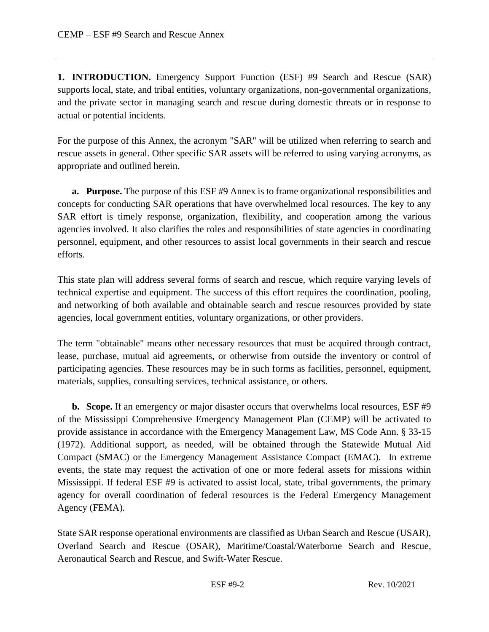**1. INTRODUCTION.** Emergency Support Function (ESF) #9 Search and Rescue (SAR) supports local, state, and tribal entities, voluntary organizations, non-governmental organizations, and the private sector in managing search and rescue during domestic threats or in response to actual or potential incidents.

For the purpose of this Annex, the acronym "SAR" will be utilized when referring to search and rescue assets in general. Other specific SAR assets will be referred to using varying acronyms, as appropriate and outlined herein.

**a.** Purpose. The purpose of this ESF #9 Annex is to frame organizational responsibilities and concepts for conducting SAR operations that have overwhelmed local resources. The key to any SAR effort is timely response, organization, flexibility, and cooperation among the various agencies involved. It also clarifies the roles and responsibilities of state agencies in coordinating personnel, equipment, and other resources to assist local governments in their search and rescue efforts.

This state plan will address several forms of search and rescue, which require varying levels of technical expertise and equipment. The success of this effort requires the coordination, pooling, and networking of both available and obtainable search and rescue resources provided by state agencies, local government entities, voluntary organizations, or other providers.

The term "obtainable" means other necessary resources that must be acquired through contract, lease, purchase, mutual aid agreements, or otherwise from outside the inventory or control of participating agencies. These resources may be in such forms as facilities, personnel, equipment, materials, supplies, consulting services, technical assistance, or others.

**b. Scope.** If an emergency or major disaster occurs that overwhelms local resources, ESF #9 of the Mississippi Comprehensive Emergency Management Plan (CEMP) will be activated to provide assistance in accordance with the Emergency Management Law, MS Code Ann. § 33-15 (1972). Additional support, as needed, will be obtained through the Statewide Mutual Aid Compact (SMAC) or the Emergency Management Assistance Compact (EMAC). In extreme events, the state may request the activation of one or more federal assets for missions within Mississippi. If federal ESF #9 is activated to assist local, state, tribal governments, the primary agency for overall coordination of federal resources is the Federal Emergency Management Agency (FEMA).

State SAR response operational environments are classified as Urban Search and Rescue (USAR), Overland Search and Rescue (OSAR), Maritime/Coastal/Waterborne Search and Rescue, Aeronautical Search and Rescue, and Swift-Water Rescue.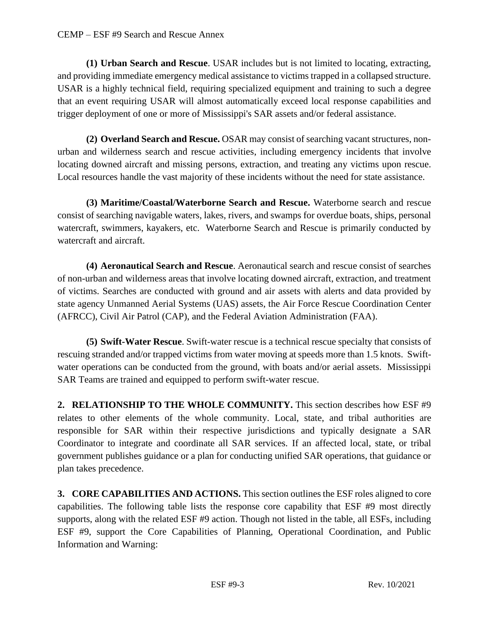**(1) Urban Search and Rescue**. USAR includes but is not limited to locating, extracting, and providing immediate emergency medical assistance to victims trapped in a collapsed structure. USAR is a highly technical field, requiring specialized equipment and training to such a degree that an event requiring USAR will almost automatically exceed local response capabilities and trigger deployment of one or more of Mississippi's SAR assets and/or federal assistance.

**(2) Overland Search and Rescue.** OSAR may consist of searching vacant structures, nonurban and wilderness search and rescue activities, including emergency incidents that involve locating downed aircraft and missing persons, extraction, and treating any victims upon rescue. Local resources handle the vast majority of these incidents without the need for state assistance.

**(3) Maritime/Coastal/Waterborne Search and Rescue.** Waterborne search and rescue consist of searching navigable waters, lakes, rivers, and swamps for overdue boats, ships, personal watercraft, swimmers, kayakers, etc. Waterborne Search and Rescue is primarily conducted by watercraft and aircraft.

**(4) Aeronautical Search and Rescue**. Aeronautical search and rescue consist of searches of non-urban and wilderness areas that involve locating downed aircraft, extraction, and treatment of victims. Searches are conducted with ground and air assets with alerts and data provided by state agency Unmanned Aerial Systems (UAS) assets, the Air Force Rescue Coordination Center (AFRCC), Civil Air Patrol (CAP), and the Federal Aviation Administration (FAA).

**(5) Swift-Water Rescue**. Swift-water rescue is a technical rescue specialty that consists of rescuing stranded and/or trapped victims from water moving at speeds more than 1.5 knots. Swiftwater operations can be conducted from the ground, with boats and/or aerial assets. Mississippi SAR Teams are trained and equipped to perform swift-water rescue.

**2. RELATIONSHIP TO THE WHOLE COMMUNITY.** This section describes how ESF #9 relates to other elements of the whole community. Local, state, and tribal authorities are responsible for SAR within their respective jurisdictions and typically designate a SAR Coordinator to integrate and coordinate all SAR services. If an affected local, state, or tribal government publishes guidance or a plan for conducting unified SAR operations, that guidance or plan takes precedence.

**3. CORE CAPABILITIES AND ACTIONS.** This section outlines the ESF roles aligned to core capabilities. The following table lists the response core capability that ESF #9 most directly supports, along with the related ESF #9 action. Though not listed in the table, all ESFs, including ESF #9, support the Core Capabilities of Planning, Operational Coordination, and Public Information and Warning: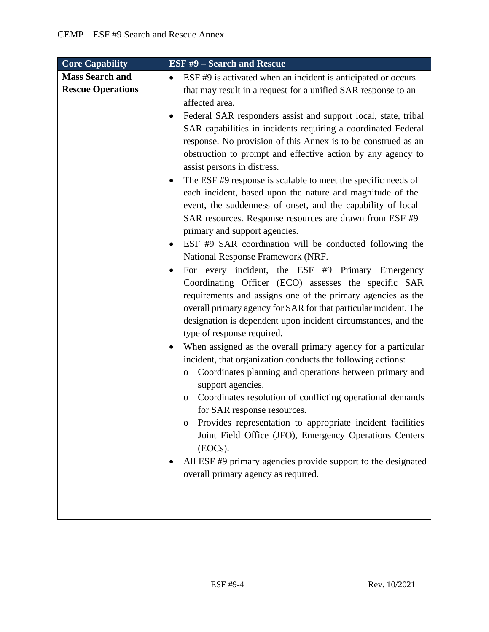| <b>Core Capability</b>   | <b>ESF #9 - Search and Rescue</b>                                                                                   |
|--------------------------|---------------------------------------------------------------------------------------------------------------------|
| <b>Mass Search and</b>   | ESF #9 is activated when an incident is anticipated or occurs<br>$\bullet$                                          |
| <b>Rescue Operations</b> | that may result in a request for a unified SAR response to an                                                       |
|                          | affected area.                                                                                                      |
|                          | Federal SAR responders assist and support local, state, tribal<br>٠                                                 |
|                          | SAR capabilities in incidents requiring a coordinated Federal                                                       |
|                          | response. No provision of this Annex is to be construed as an                                                       |
|                          | obstruction to prompt and effective action by any agency to<br>assist persons in distress.                          |
|                          | The ESF #9 response is scalable to meet the specific needs of                                                       |
|                          | each incident, based upon the nature and magnitude of the                                                           |
|                          | event, the suddenness of onset, and the capability of local                                                         |
|                          | SAR resources. Response resources are drawn from ESF #9                                                             |
|                          | primary and support agencies.                                                                                       |
|                          | ESF #9 SAR coordination will be conducted following the                                                             |
|                          | National Response Framework (NRF.                                                                                   |
|                          | For every incident, the ESF #9 Primary Emergency                                                                    |
|                          | Coordinating Officer (ECO) assesses the specific SAR<br>requirements and assigns one of the primary agencies as the |
|                          | overall primary agency for SAR for that particular incident. The                                                    |
|                          | designation is dependent upon incident circumstances, and the                                                       |
|                          | type of response required.                                                                                          |
|                          | When assigned as the overall primary agency for a particular                                                        |
|                          | incident, that organization conducts the following actions:                                                         |
|                          | Coordinates planning and operations between primary and<br>0                                                        |
|                          | support agencies.                                                                                                   |
|                          | Coordinates resolution of conflicting operational demands<br>$\mathbf{O}$                                           |
|                          | for SAR response resources.<br>Provides representation to appropriate incident facilities<br>$\mathbf{O}$           |
|                          | Joint Field Office (JFO), Emergency Operations Centers                                                              |
|                          | (EOCs).                                                                                                             |
|                          | All ESF #9 primary agencies provide support to the designated                                                       |
|                          | overall primary agency as required.                                                                                 |
|                          |                                                                                                                     |
|                          |                                                                                                                     |
|                          |                                                                                                                     |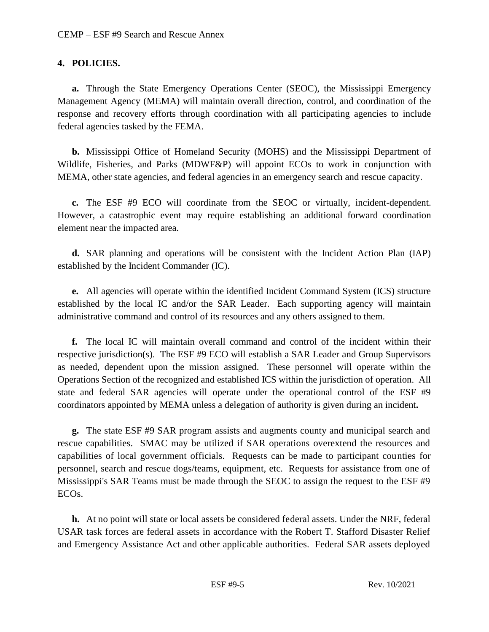#### **4. POLICIES.**

**a.** Through the State Emergency Operations Center (SEOC), the Mississippi Emergency Management Agency (MEMA) will maintain overall direction, control, and coordination of the response and recovery efforts through coordination with all participating agencies to include federal agencies tasked by the FEMA.

**b.** Mississippi Office of Homeland Security (MOHS) and the Mississippi Department of Wildlife, Fisheries, and Parks (MDWF&P) will appoint ECOs to work in conjunction with MEMA, other state agencies, and federal agencies in an emergency search and rescue capacity.

**c.** The ESF #9 ECO will coordinate from the SEOC or virtually, incident-dependent. However, a catastrophic event may require establishing an additional forward coordination element near the impacted area.

**d.** SAR planning and operations will be consistent with the Incident Action Plan (IAP) established by the Incident Commander (IC).

**e.** All agencies will operate within the identified Incident Command System (ICS) structure established by the local IC and/or the SAR Leader. Each supporting agency will maintain administrative command and control of its resources and any others assigned to them.

**f.** The local IC will maintain overall command and control of the incident within their respective jurisdiction(s). The ESF #9 ECO will establish a SAR Leader and Group Supervisors as needed, dependent upon the mission assigned. These personnel will operate within the Operations Section of the recognized and established ICS within the jurisdiction of operation. All state and federal SAR agencies will operate under the operational control of the ESF #9 coordinators appointed by MEMA unless a delegation of authority is given during an incident**.** 

**g.** The state ESF #9 SAR program assists and augments county and municipal search and rescue capabilities. SMAC may be utilized if SAR operations overextend the resources and capabilities of local government officials. Requests can be made to participant counties for personnel, search and rescue dogs/teams, equipment, etc. Requests for assistance from one of Mississippi's SAR Teams must be made through the SEOC to assign the request to the ESF #9 ECOs.

**h.** At no point will state or local assets be considered federal assets. Under the NRF, federal USAR task forces are federal assets in accordance with the Robert T. Stafford Disaster Relief and Emergency Assistance Act and other applicable authorities. Federal SAR assets deployed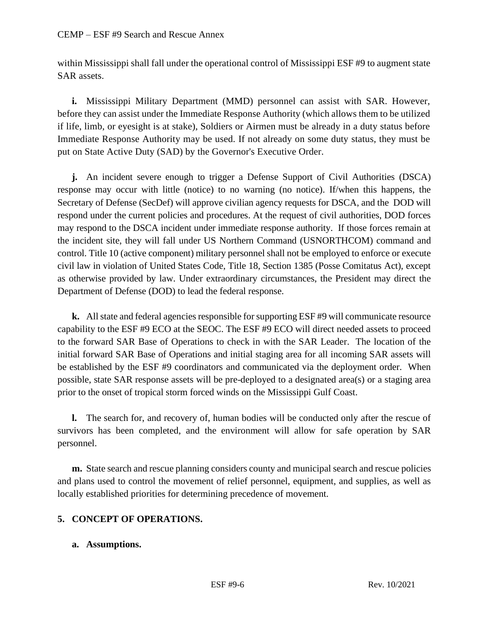within Mississippi shall fall under the operational control of Mississippi ESF #9 to augment state SAR assets.

**i.** Mississippi Military Department (MMD) personnel can assist with SAR. However, before they can assist under the Immediate Response Authority (which allows them to be utilized if life, limb, or eyesight is at stake), Soldiers or Airmen must be already in a duty status before Immediate Response Authority may be used. If not already on some duty status, they must be put on State Active Duty (SAD) by the Governor's Executive Order.

**j.** An incident severe enough to trigger a Defense Support of Civil Authorities (DSCA) response may occur with little (notice) to no warning (no notice). If/when this happens, the Secretary of Defense (SecDef) will approve civilian agency requests for DSCA, and the DOD will respond under the current policies and procedures. At the request of civil authorities, DOD forces may respond to the DSCA incident under immediate response authority. If those forces remain at the incident site, they will fall under US Northern Command (USNORTHCOM) command and control. Title 10 (active component) military personnel shall not be employed to enforce or execute civil law in violation of United States Code, Title 18, Section 1385 (Posse Comitatus Act), except as otherwise provided by law. Under extraordinary circumstances, the President may direct the Department of Defense (DOD) to lead the federal response.

**k.** All state and federal agencies responsible for supporting ESF #9 will communicate resource capability to the ESF #9 ECO at the SEOC. The ESF #9 ECO will direct needed assets to proceed to the forward SAR Base of Operations to check in with the SAR Leader. The location of the initial forward SAR Base of Operations and initial staging area for all incoming SAR assets will be established by the ESF #9 coordinators and communicated via the deployment order. When possible, state SAR response assets will be pre-deployed to a designated area(s) or a staging area prior to the onset of tropical storm forced winds on the Mississippi Gulf Coast.

**l.** The search for, and recovery of, human bodies will be conducted only after the rescue of survivors has been completed, and the environment will allow for safe operation by SAR personnel.

**m.** State search and rescue planning considers county and municipal search and rescue policies and plans used to control the movement of relief personnel, equipment, and supplies, as well as locally established priorities for determining precedence of movement.

# **5. CONCEPT OF OPERATIONS.**

### **a. Assumptions.**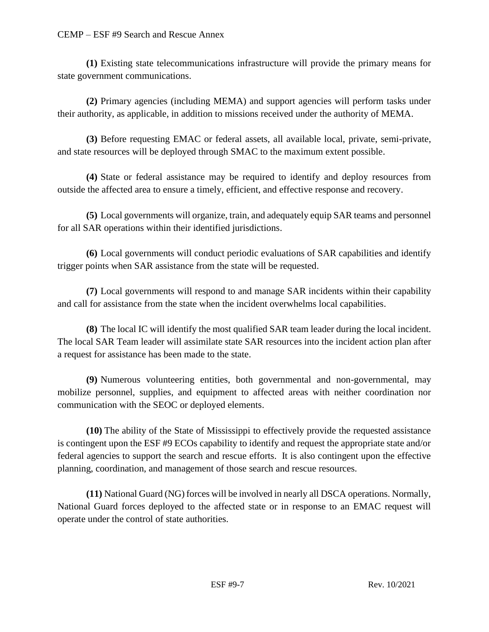**(1)** Existing state telecommunications infrastructure will provide the primary means for state government communications.

**(2)** Primary agencies (including MEMA) and support agencies will perform tasks under their authority, as applicable, in addition to missions received under the authority of MEMA.

**(3)** Before requesting EMAC or federal assets, all available local, private, semi-private, and state resources will be deployed through SMAC to the maximum extent possible.

**(4)** State or federal assistance may be required to identify and deploy resources from outside the affected area to ensure a timely, efficient, and effective response and recovery.

**(5)** Local governments will organize, train, and adequately equip SAR teams and personnel for all SAR operations within their identified jurisdictions.

**(6)** Local governments will conduct periodic evaluations of SAR capabilities and identify trigger points when SAR assistance from the state will be requested.

**(7)** Local governments will respond to and manage SAR incidents within their capability and call for assistance from the state when the incident overwhelms local capabilities.

**(8)** The local IC will identify the most qualified SAR team leader during the local incident. The local SAR Team leader will assimilate state SAR resources into the incident action plan after a request for assistance has been made to the state.

**(9)** Numerous volunteering entities, both governmental and non-governmental, may mobilize personnel, supplies, and equipment to affected areas with neither coordination nor communication with the SEOC or deployed elements.

**(10)** The ability of the State of Mississippi to effectively provide the requested assistance is contingent upon the ESF #9 ECOs capability to identify and request the appropriate state and/or federal agencies to support the search and rescue efforts. It is also contingent upon the effective planning, coordination, and management of those search and rescue resources.

**(11)** National Guard (NG) forces will be involved in nearly all DSCA operations. Normally, National Guard forces deployed to the affected state or in response to an EMAC request will operate under the control of state authorities.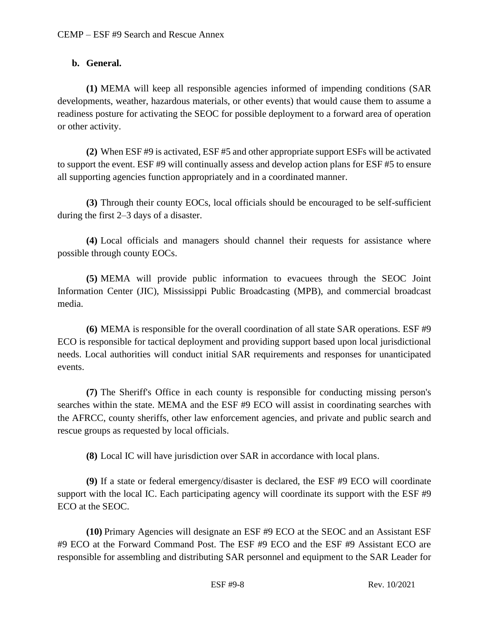### **b. General.**

**(1)** MEMA will keep all responsible agencies informed of impending conditions (SAR developments, weather, hazardous materials, or other events) that would cause them to assume a readiness posture for activating the SEOC for possible deployment to a forward area of operation or other activity.

**(2)** When ESF #9 is activated, ESF #5 and other appropriate support ESFs will be activated to support the event. ESF #9 will continually assess and develop action plans for ESF #5 to ensure all supporting agencies function appropriately and in a coordinated manner.

**(3)** Through their county EOCs, local officials should be encouraged to be self-sufficient during the first 2–3 days of a disaster.

**(4)** Local officials and managers should channel their requests for assistance where possible through county EOCs.

**(5)** MEMA will provide public information to evacuees through the SEOC Joint Information Center (JIC), Mississippi Public Broadcasting (MPB), and commercial broadcast media.

**(6)** MEMA is responsible for the overall coordination of all state SAR operations. ESF #9 ECO is responsible for tactical deployment and providing support based upon local jurisdictional needs. Local authorities will conduct initial SAR requirements and responses for unanticipated events.

**(7)** The Sheriff's Office in each county is responsible for conducting missing person's searches within the state. MEMA and the ESF #9 ECO will assist in coordinating searches with the AFRCC, county sheriffs, other law enforcement agencies, and private and public search and rescue groups as requested by local officials.

**(8)** Local IC will have jurisdiction over SAR in accordance with local plans.

**(9)** If a state or federal emergency/disaster is declared, the ESF #9 ECO will coordinate support with the local IC. Each participating agency will coordinate its support with the ESF #9 ECO at the SEOC.

**(10)** Primary Agencies will designate an ESF #9 ECO at the SEOC and an Assistant ESF #9 ECO at the Forward Command Post. The ESF #9 ECO and the ESF #9 Assistant ECO are responsible for assembling and distributing SAR personnel and equipment to the SAR Leader for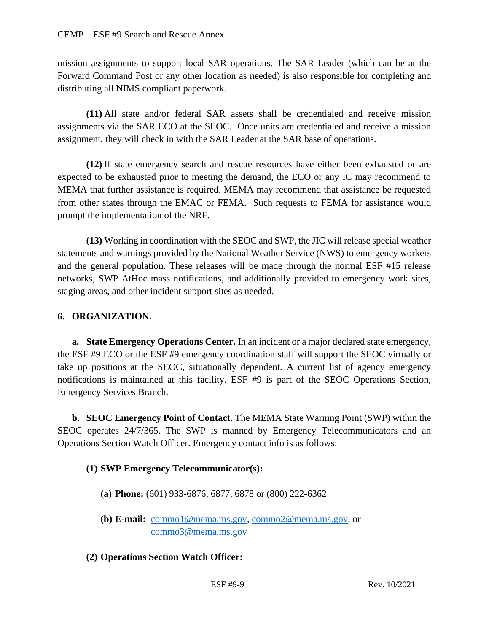mission assignments to support local SAR operations. The SAR Leader (which can be at the Forward Command Post or any other location as needed) is also responsible for completing and distributing all NIMS compliant paperwork.

**(11)** All state and/or federal SAR assets shall be credentialed and receive mission assignments via the SAR ECO at the SEOC. Once units are credentialed and receive a mission assignment, they will check in with the SAR Leader at the SAR base of operations.

**(12)** If state emergency search and rescue resources have either been exhausted or are expected to be exhausted prior to meeting the demand, the ECO or any IC may recommend to MEMA that further assistance is required. MEMA may recommend that assistance be requested from other states through the EMAC or FEMA. Such requests to FEMA for assistance would prompt the implementation of the NRF.

**(13)** Working in coordination with the SEOC and SWP, the JIC will release special weather statements and warnings provided by the National Weather Service (NWS) to emergency workers and the general population. These releases will be made through the normal ESF #15 release networks, SWP AtHoc mass notifications, and additionally provided to emergency work sites, staging areas, and other incident support sites as needed.

### **6. ORGANIZATION.**

**a. State Emergency Operations Center.** In an incident or a major declared state emergency, the ESF #9 ECO or the ESF #9 emergency coordination staff will support the SEOC virtually or take up positions at the SEOC, situationally dependent. A current list of agency emergency notifications is maintained at this facility. ESF #9 is part of the SEOC Operations Section, Emergency Services Branch.

**b. SEOC Emergency Point of Contact.** The MEMA State Warning Point (SWP) within the SEOC operates 24/7/365. The SWP is manned by Emergency Telecommunicators and an Operations Section Watch Officer. Emergency contact info is as follows:

#### **(1) SWP Emergency Telecommunicator(s):**

- **(a) Phone:** (601) 933-6876, 6877, 6878 or (800) 222-6362
- **(b) E-mail:** [commo1@mema.ms.gov,](mailto:commo1@mema.ms.gov) [commo2@mema.ms.gov,](mailto:commo2@mema.ms.gov) or [commo3@mema.ms.gov](mailto:commo3@mema.ms.gov)
- **(2) Operations Section Watch Officer:**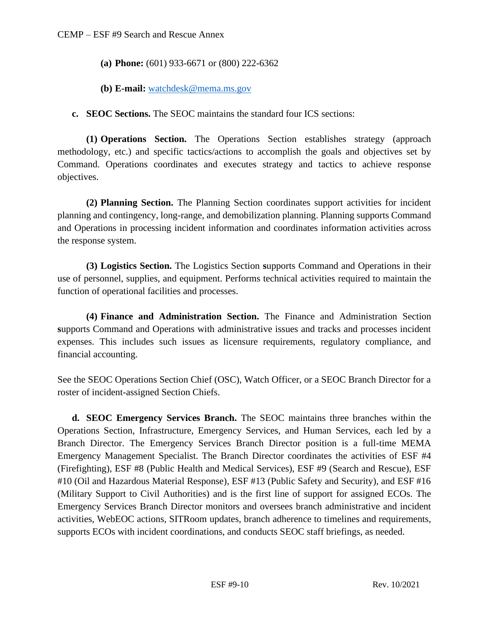- **(a) Phone:** (601) 933-6671 or (800) 222-6362
- **(b) E-mail:** [watchdesk@mema.ms.gov](mailto:watchdesk@mema.ms.gov)

**c. SEOC Sections.** The SEOC maintains the standard four ICS sections:

**(1) Operations Section.** The Operations Section establishes strategy (approach methodology, etc.) and specific tactics/actions to accomplish the goals and objectives set by Command. Operations coordinates and executes strategy and tactics to achieve response objectives.

**(2) Planning Section.** The Planning Section coordinates support activities for incident planning and contingency, long-range, and demobilization planning. Planning supports Command and Operations in processing incident information and coordinates information activities across the response system.

**(3) Logistics Section.** The Logistics Section **s**upports Command and Operations in their use of personnel, supplies, and equipment. Performs technical activities required to maintain the function of operational facilities and processes.

**(4) Finance and Administration Section.** The Finance and Administration Section **s**upports Command and Operations with administrative issues and tracks and processes incident expenses. This includes such issues as licensure requirements, regulatory compliance, and financial accounting.

See the SEOC Operations Section Chief (OSC), Watch Officer, or a SEOC Branch Director for a roster of incident-assigned Section Chiefs.

**d. SEOC Emergency Services Branch.** The SEOC maintains three branches within the Operations Section, Infrastructure, Emergency Services, and Human Services, each led by a Branch Director. The Emergency Services Branch Director position is a full-time MEMA Emergency Management Specialist. The Branch Director coordinates the activities of ESF #4 (Firefighting), ESF #8 (Public Health and Medical Services), ESF #9 (Search and Rescue), ESF #10 (Oil and Hazardous Material Response), ESF #13 (Public Safety and Security), and ESF #16 (Military Support to Civil Authorities) and is the first line of support for assigned ECOs. The Emergency Services Branch Director monitors and oversees branch administrative and incident activities, WebEOC actions, SITRoom updates, branch adherence to timelines and requirements, supports ECOs with incident coordinations, and conducts SEOC staff briefings, as needed.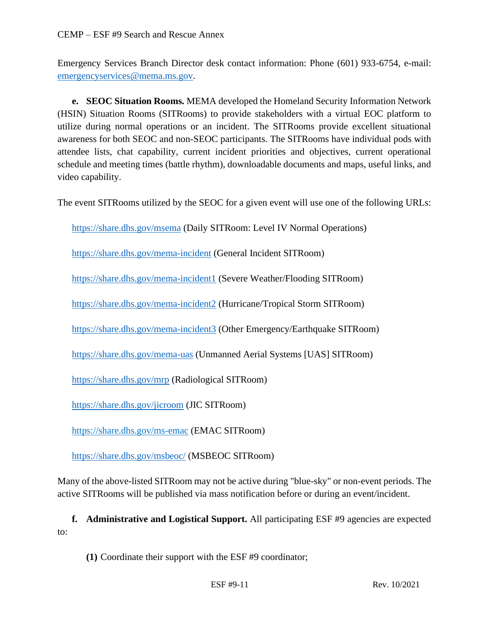Emergency Services Branch Director desk contact information: Phone (601) 933-6754, e-mail: [emergencyservices@mema.ms.gov.](mailto:emergencyservices@mema.ms.gov)

**e. SEOC Situation Rooms.** MEMA developed the Homeland Security Information Network (HSIN) Situation Rooms (SITRooms) to provide stakeholders with a virtual EOC platform to utilize during normal operations or an incident. The SITRooms provide excellent situational awareness for both SEOC and non-SEOC participants. The SITRooms have individual pods with attendee lists, chat capability, current incident priorities and objectives, current operational schedule and meeting times (battle rhythm), downloadable documents and maps, useful links, and video capability.

The event SITRooms utilized by the SEOC for a given event will use one of the following URLs:

<https://share.dhs.gov/msema> (Daily SITRoom: Level IV Normal Operations)

<https://share.dhs.gov/mema-incident> (General Incident SITRoom)

<https://share.dhs.gov/mema-incident1> (Severe Weather/Flooding SITRoom)

<https://share.dhs.gov/mema-incident2> (Hurricane/Tropical Storm SITRoom)

<https://share.dhs.gov/mema-incident3> (Other Emergency/Earthquake SITRoom)

<https://share.dhs.gov/mema-uas> (Unmanned Aerial Systems [UAS] SITRoom)

<https://share.dhs.gov/mrp> (Radiological SITRoom)

<https://share.dhs.gov/jicroom> (JIC SITRoom)

<https://share.dhs.gov/ms-emac> (EMAC SITRoom)

<https://share.dhs.gov/msbeoc/> (MSBEOC SITRoom)

Many of the above-listed SITRoom may not be active during "blue-sky" or non-event periods. The active SITRooms will be published via mass notification before or during an event/incident.

**f. Administrative and Logistical Support.** All participating ESF #9 agencies are expected to:

**(1)** Coordinate their support with the ESF #9 coordinator;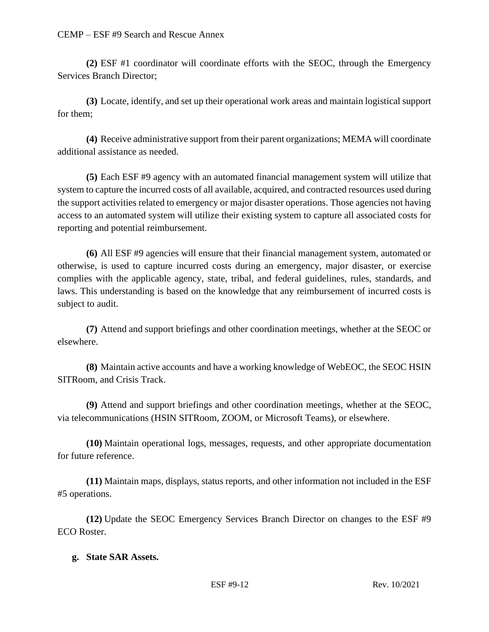**(2)** ESF #1 coordinator will coordinate efforts with the SEOC, through the Emergency Services Branch Director;

**(3)** Locate, identify, and set up their operational work areas and maintain logistical support for them;

**(4)** Receive administrative support from their parent organizations; MEMA will coordinate additional assistance as needed.

**(5)** Each ESF #9 agency with an automated financial management system will utilize that system to capture the incurred costs of all available, acquired, and contracted resources used during the support activities related to emergency or major disaster operations. Those agencies not having access to an automated system will utilize their existing system to capture all associated costs for reporting and potential reimbursement.

**(6)** All ESF #9 agencies will ensure that their financial management system, automated or otherwise, is used to capture incurred costs during an emergency, major disaster, or exercise complies with the applicable agency, state, tribal, and federal guidelines, rules, standards, and laws. This understanding is based on the knowledge that any reimbursement of incurred costs is subject to audit.

**(7)** Attend and support briefings and other coordination meetings, whether at the SEOC or elsewhere.

**(8)** Maintain active accounts and have a working knowledge of WebEOC, the SEOC HSIN SITRoom, and Crisis Track.

**(9)** Attend and support briefings and other coordination meetings, whether at the SEOC, via telecommunications (HSIN SITRoom, ZOOM, or Microsoft Teams), or elsewhere.

**(10)** Maintain operational logs, messages, requests, and other appropriate documentation for future reference.

**(11)** Maintain maps, displays, status reports, and other information not included in the ESF #5 operations.

**(12)** Update the SEOC Emergency Services Branch Director on changes to the ESF #9 ECO Roster.

#### **g. State SAR Assets.**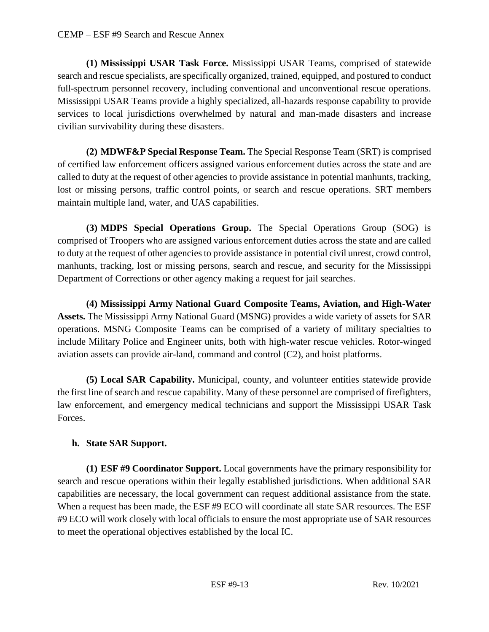**(1) Mississippi USAR Task Force.** Mississippi USAR Teams, comprised of statewide search and rescue specialists, are specifically organized, trained, equipped, and postured to conduct full-spectrum personnel recovery, including conventional and unconventional rescue operations. Mississippi USAR Teams provide a highly specialized, all-hazards response capability to provide services to local jurisdictions overwhelmed by natural and man-made disasters and increase civilian survivability during these disasters.

**(2) MDWF&P Special Response Team.** The Special Response Team (SRT) is comprised of certified law enforcement officers assigned various enforcement duties across the state and are called to duty at the request of other agencies to provide assistance in potential manhunts, tracking, lost or missing persons, traffic control points, or search and rescue operations. SRT members maintain multiple land, water, and UAS capabilities.

**(3) MDPS Special Operations Group.** The Special Operations Group (SOG) is comprised of Troopers who are assigned various enforcement duties across the state and are called to duty at the request of other agencies to provide assistance in potential civil unrest, crowd control, manhunts, tracking, lost or missing persons, search and rescue, and security for the Mississippi Department of Corrections or other agency making a request for jail searches.

**(4) Mississippi Army National Guard Composite Teams, Aviation, and High-Water Assets.** The Mississippi Army National Guard (MSNG) provides a wide variety of assets for SAR operations. MSNG Composite Teams can be comprised of a variety of military specialties to include Military Police and Engineer units, both with high-water rescue vehicles. Rotor-winged aviation assets can provide air-land, command and control (C2), and hoist platforms.

**(5) Local SAR Capability.** Municipal, county, and volunteer entities statewide provide the first line of search and rescue capability. Many of these personnel are comprised of firefighters, law enforcement, and emergency medical technicians and support the Mississippi USAR Task Forces.

### **h. State SAR Support.**

**(1) ESF #9 Coordinator Support.** Local governments have the primary responsibility for search and rescue operations within their legally established jurisdictions. When additional SAR capabilities are necessary, the local government can request additional assistance from the state. When a request has been made, the ESF #9 ECO will coordinate all state SAR resources. The ESF #9 ECO will work closely with local officials to ensure the most appropriate use of SAR resources to meet the operational objectives established by the local IC.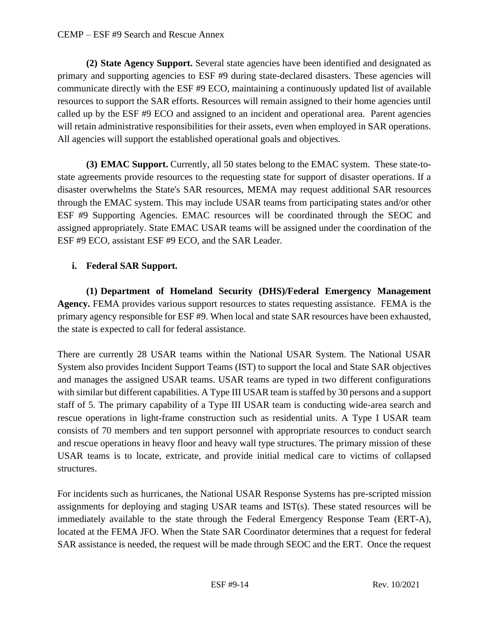**(2) State Agency Support.** Several state agencies have been identified and designated as primary and supporting agencies to ESF #9 during state-declared disasters. These agencies will communicate directly with the ESF #9 ECO, maintaining a continuously updated list of available resources to support the SAR efforts. Resources will remain assigned to their home agencies until called up by the ESF #9 ECO and assigned to an incident and operational area. Parent agencies will retain administrative responsibilities for their assets, even when employed in SAR operations. All agencies will support the established operational goals and objectives.

**(3) EMAC Support.** Currently, all 50 states belong to the EMAC system. These state-tostate agreements provide resources to the requesting state for support of disaster operations. If a disaster overwhelms the State's SAR resources, MEMA may request additional SAR resources through the EMAC system. This may include USAR teams from participating states and/or other ESF #9 Supporting Agencies. EMAC resources will be coordinated through the SEOC and assigned appropriately. State EMAC USAR teams will be assigned under the coordination of the ESF #9 ECO, assistant ESF #9 ECO, and the SAR Leader.

# **i. Federal SAR Support.**

**(1) Department of Homeland Security (DHS)/Federal Emergency Management Agency.** FEMA provides various support resources to states requesting assistance. FEMA is the primary agency responsible for ESF #9. When local and state SAR resources have been exhausted, the state is expected to call for federal assistance.

There are currently 28 USAR teams within the National USAR System. The National USAR System also provides Incident Support Teams (IST) to support the local and State SAR objectives and manages the assigned USAR teams. USAR teams are typed in two different configurations with similar but different capabilities. A Type III USAR team is staffed by 30 persons and a support staff of 5. The primary capability of a Type III USAR team is conducting wide-area search and rescue operations in light-frame construction such as residential units. A Type I USAR team consists of 70 members and ten support personnel with appropriate resources to conduct search and rescue operations in heavy floor and heavy wall type structures. The primary mission of these USAR teams is to locate, extricate, and provide initial medical care to victims of collapsed structures.

For incidents such as hurricanes, the National USAR Response Systems has pre-scripted mission assignments for deploying and staging USAR teams and IST(s). These stated resources will be immediately available to the state through the Federal Emergency Response Team (ERT-A), located at the FEMA JFO. When the State SAR Coordinator determines that a request for federal SAR assistance is needed, the request will be made through SEOC and the ERT. Once the request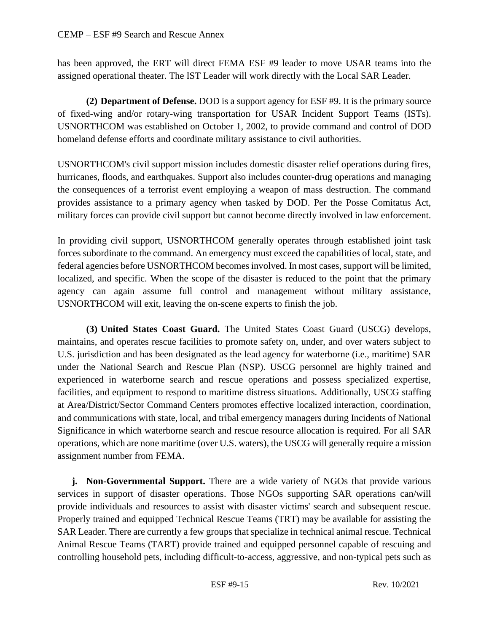has been approved, the ERT will direct FEMA ESF #9 leader to move USAR teams into the assigned operational theater. The IST Leader will work directly with the Local SAR Leader.

**(2) Department of Defense.** DOD is a support agency for ESF #9. It is the primary source of fixed-wing and/or rotary-wing transportation for USAR Incident Support Teams (ISTs). USNORTHCOM was established on October 1, 2002, to provide command and control of DOD homeland defense efforts and coordinate military assistance to civil authorities.

USNORTHCOM's civil support mission includes domestic disaster relief operations during fires, hurricanes, floods, and earthquakes. Support also includes counter-drug operations and managing the consequences of a terrorist event employing a weapon of mass destruction. The command provides assistance to a primary agency when tasked by DOD. Per the Posse Comitatus Act, military forces can provide civil support but cannot become directly involved in law enforcement.

In providing civil support, USNORTHCOM generally operates through established joint task forces subordinate to the command. An emergency must exceed the capabilities of local, state, and federal agencies before USNORTHCOM becomes involved. In most cases, support will be limited, localized, and specific. When the scope of the disaster is reduced to the point that the primary agency can again assume full control and management without military assistance, USNORTHCOM will exit, leaving the on-scene experts to finish the job.

**(3) United States Coast Guard.** The United States Coast Guard (USCG) develops, maintains, and operates rescue facilities to promote safety on, under, and over waters subject to U.S. jurisdiction and has been designated as the lead agency for waterborne (i.e., maritime) SAR under the National Search and Rescue Plan (NSP). USCG personnel are highly trained and experienced in waterborne search and rescue operations and possess specialized expertise, facilities, and equipment to respond to maritime distress situations. Additionally, USCG staffing at Area/District/Sector Command Centers promotes effective localized interaction, coordination, and communications with state, local, and tribal emergency managers during Incidents of National Significance in which waterborne search and rescue resource allocation is required. For all SAR operations, which are none maritime (over U.S. waters), the USCG will generally require a mission assignment number from FEMA.

**j. Non-Governmental Support.** There are a wide variety of NGOs that provide various services in support of disaster operations. Those NGOs supporting SAR operations can/will provide individuals and resources to assist with disaster victims' search and subsequent rescue. Properly trained and equipped Technical Rescue Teams (TRT) may be available for assisting the SAR Leader. There are currently a few groups that specialize in technical animal rescue. Technical Animal Rescue Teams (TART) provide trained and equipped personnel capable of rescuing and controlling household pets, including difficult-to-access, aggressive, and non-typical pets such as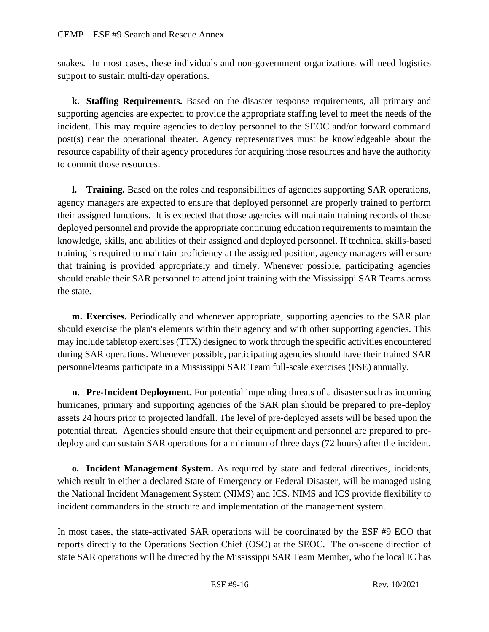snakes. In most cases, these individuals and non-government organizations will need logistics support to sustain multi-day operations.

**k. Staffing Requirements.** Based on the disaster response requirements, all primary and supporting agencies are expected to provide the appropriate staffing level to meet the needs of the incident. This may require agencies to deploy personnel to the SEOC and/or forward command post(s) near the operational theater. Agency representatives must be knowledgeable about the resource capability of their agency procedures for acquiring those resources and have the authority to commit those resources.

**l. Training.** Based on the roles and responsibilities of agencies supporting SAR operations, agency managers are expected to ensure that deployed personnel are properly trained to perform their assigned functions. It is expected that those agencies will maintain training records of those deployed personnel and provide the appropriate continuing education requirements to maintain the knowledge, skills, and abilities of their assigned and deployed personnel. If technical skills-based training is required to maintain proficiency at the assigned position, agency managers will ensure that training is provided appropriately and timely. Whenever possible, participating agencies should enable their SAR personnel to attend joint training with the Mississippi SAR Teams across the state.

**m. Exercises.** Periodically and whenever appropriate, supporting agencies to the SAR plan should exercise the plan's elements within their agency and with other supporting agencies. This may include tabletop exercises (TTX) designed to work through the specific activities encountered during SAR operations. Whenever possible, participating agencies should have their trained SAR personnel/teams participate in a Mississippi SAR Team full-scale exercises (FSE) annually.

**n. Pre-Incident Deployment.** For potential impending threats of a disaster such as incoming hurricanes, primary and supporting agencies of the SAR plan should be prepared to pre-deploy assets 24 hours prior to projected landfall. The level of pre-deployed assets will be based upon the potential threat. Agencies should ensure that their equipment and personnel are prepared to predeploy and can sustain SAR operations for a minimum of three days (72 hours) after the incident.

**o. Incident Management System.** As required by state and federal directives, incidents, which result in either a declared State of Emergency or Federal Disaster, will be managed using the National Incident Management System (NIMS) and ICS. NIMS and ICS provide flexibility to incident commanders in the structure and implementation of the management system.

In most cases, the state-activated SAR operations will be coordinated by the ESF #9 ECO that reports directly to the Operations Section Chief (OSC) at the SEOC. The on-scene direction of state SAR operations will be directed by the Mississippi SAR Team Member, who the local IC has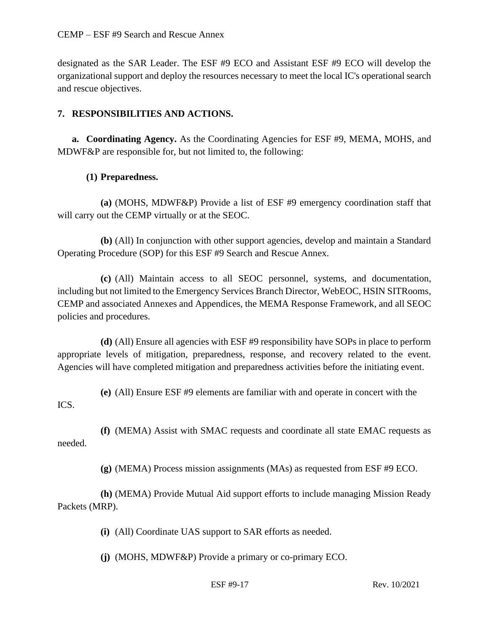designated as the SAR Leader. The ESF #9 ECO and Assistant ESF #9 ECO will develop the organizational support and deploy the resources necessary to meet the local IC's operational search and rescue objectives.

### **7. RESPONSIBILITIES AND ACTIONS.**

**a. Coordinating Agency.** As the Coordinating Agencies for ESF #9, MEMA, MOHS, and MDWF&P are responsible for, but not limited to, the following:

### **(1) Preparedness.**

**(a)** (MOHS, MDWF&P) Provide a list of ESF #9 emergency coordination staff that will carry out the CEMP virtually or at the SEOC.

**(b)** (All) In conjunction with other support agencies, develop and maintain a Standard Operating Procedure (SOP) for this ESF #9 Search and Rescue Annex.

**(c)** (All) Maintain access to all SEOC personnel, systems, and documentation, including but not limited to the Emergency Services Branch Director, WebEOC, HSIN SITRooms, CEMP and associated Annexes and Appendices, the MEMA Response Framework, and all SEOC policies and procedures.

**(d)** (All) Ensure all agencies with ESF #9 responsibility have SOPs in place to perform appropriate levels of mitigation, preparedness, response, and recovery related to the event. Agencies will have completed mitigation and preparedness activities before the initiating event.

**(e)** (All) Ensure ESF #9 elements are familiar with and operate in concert with the ICS.

**(f)** (MEMA) Assist with SMAC requests and coordinate all state EMAC requests as needed.

**(g)** (MEMA) Process mission assignments (MAs) as requested from ESF #9 ECO.

**(h)** (MEMA) Provide Mutual Aid support efforts to include managing Mission Ready Packets (MRP).

**(i)** (All) Coordinate UAS support to SAR efforts as needed.

**(j)** (MOHS, MDWF&P) Provide a primary or co-primary ECO.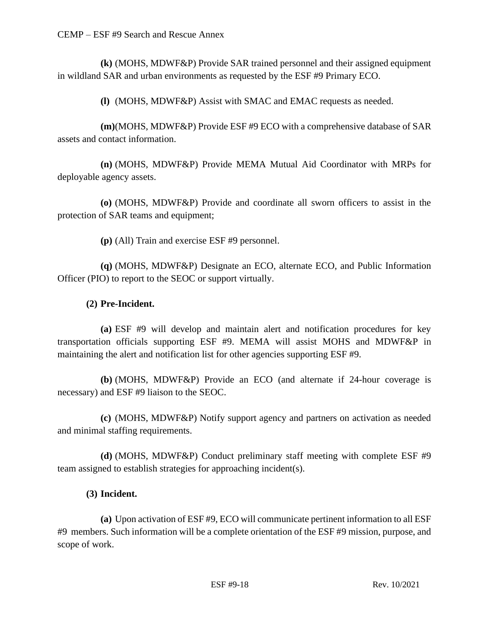**(k)** (MOHS, MDWF&P) Provide SAR trained personnel and their assigned equipment in wildland SAR and urban environments as requested by the ESF #9 Primary ECO.

**(l)** (MOHS, MDWF&P) Assist with SMAC and EMAC requests as needed.

**(m)**(MOHS, MDWF&P) Provide ESF #9 ECO with a comprehensive database of SAR assets and contact information.

**(n)** (MOHS, MDWF&P) Provide MEMA Mutual Aid Coordinator with MRPs for deployable agency assets.

**(o)** (MOHS, MDWF&P) Provide and coordinate all sworn officers to assist in the protection of SAR teams and equipment;

**(p)** (All) Train and exercise ESF #9 personnel.

**(q)** (MOHS, MDWF&P) Designate an ECO, alternate ECO, and Public Information Officer (PIO) to report to the SEOC or support virtually.

### **(2) Pre-Incident.**

**(a)** ESF #9 will develop and maintain alert and notification procedures for key transportation officials supporting ESF #9. MEMA will assist MOHS and MDWF&P in maintaining the alert and notification list for other agencies supporting ESF #9.

**(b)** (MOHS, MDWF&P) Provide an ECO (and alternate if 24-hour coverage is necessary) and ESF #9 liaison to the SEOC.

**(c)** (MOHS, MDWF&P) Notify support agency and partners on activation as needed and minimal staffing requirements.

**(d)** (MOHS, MDWF&P) Conduct preliminary staff meeting with complete ESF #9 team assigned to establish strategies for approaching incident(s).

### **(3) Incident.**

**(a)** Upon activation of ESF #9, ECO will communicate pertinent information to all ESF #9 members. Such information will be a complete orientation of the ESF #9 mission, purpose, and scope of work.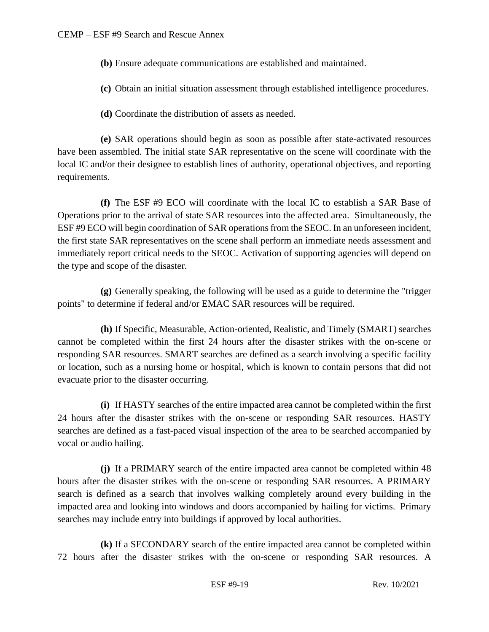- **(b)** Ensure adequate communications are established and maintained.
- **(c)** Obtain an initial situation assessment through established intelligence procedures.
- **(d)** Coordinate the distribution of assets as needed.

**(e)** SAR operations should begin as soon as possible after state-activated resources have been assembled. The initial state SAR representative on the scene will coordinate with the local IC and/or their designee to establish lines of authority, operational objectives, and reporting requirements.

**(f)** The ESF #9 ECO will coordinate with the local IC to establish a SAR Base of Operations prior to the arrival of state SAR resources into the affected area. Simultaneously, the ESF #9 ECO will begin coordination of SAR operations from the SEOC. In an unforeseen incident, the first state SAR representatives on the scene shall perform an immediate needs assessment and immediately report critical needs to the SEOC. Activation of supporting agencies will depend on the type and scope of the disaster.

**(g)** Generally speaking, the following will be used as a guide to determine the "trigger points" to determine if federal and/or EMAC SAR resources will be required.

**(h)** If Specific, Measurable, Action-oriented, Realistic, and Timely (SMART) searches cannot be completed within the first 24 hours after the disaster strikes with the on-scene or responding SAR resources. SMART searches are defined as a search involving a specific facility or location, such as a nursing home or hospital, which is known to contain persons that did not evacuate prior to the disaster occurring.

**(i)** If HASTY searches of the entire impacted area cannot be completed within the first 24 hours after the disaster strikes with the on-scene or responding SAR resources. HASTY searches are defined as a fast-paced visual inspection of the area to be searched accompanied by vocal or audio hailing.

**(j)** If a PRIMARY search of the entire impacted area cannot be completed within 48 hours after the disaster strikes with the on-scene or responding SAR resources. A PRIMARY search is defined as a search that involves walking completely around every building in the impacted area and looking into windows and doors accompanied by hailing for victims. Primary searches may include entry into buildings if approved by local authorities.

**(k)** If a SECONDARY search of the entire impacted area cannot be completed within 72 hours after the disaster strikes with the on-scene or responding SAR resources. A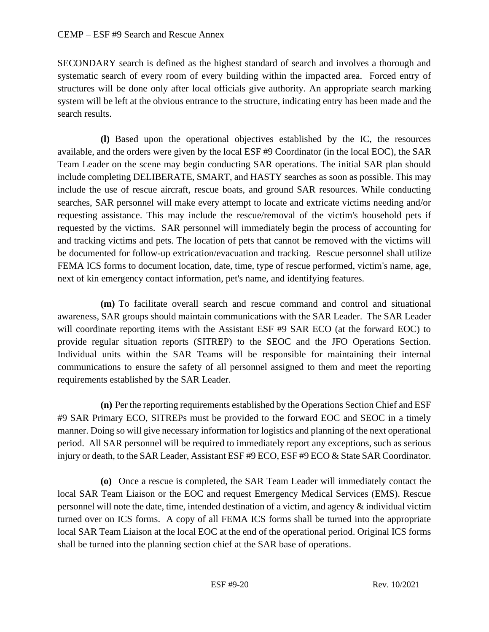SECONDARY search is defined as the highest standard of search and involves a thorough and systematic search of every room of every building within the impacted area. Forced entry of structures will be done only after local officials give authority. An appropriate search marking system will be left at the obvious entrance to the structure, indicating entry has been made and the search results.

**(l)** Based upon the operational objectives established by the IC, the resources available, and the orders were given by the local ESF #9 Coordinator (in the local EOC), the SAR Team Leader on the scene may begin conducting SAR operations. The initial SAR plan should include completing DELIBERATE, SMART, and HASTY searches as soon as possible. This may include the use of rescue aircraft, rescue boats, and ground SAR resources. While conducting searches, SAR personnel will make every attempt to locate and extricate victims needing and/or requesting assistance. This may include the rescue/removal of the victim's household pets if requested by the victims. SAR personnel will immediately begin the process of accounting for and tracking victims and pets. The location of pets that cannot be removed with the victims will be documented for follow-up extrication/evacuation and tracking. Rescue personnel shall utilize FEMA ICS forms to document location, date, time, type of rescue performed, victim's name, age, next of kin emergency contact information, pet's name, and identifying features.

**(m)** To facilitate overall search and rescue command and control and situational awareness, SAR groups should maintain communications with the SAR Leader. The SAR Leader will coordinate reporting items with the Assistant ESF #9 SAR ECO (at the forward EOC) to provide regular situation reports (SITREP) to the SEOC and the JFO Operations Section. Individual units within the SAR Teams will be responsible for maintaining their internal communications to ensure the safety of all personnel assigned to them and meet the reporting requirements established by the SAR Leader.

**(n)** Per the reporting requirements established by the Operations Section Chief and ESF #9 SAR Primary ECO, SITREPs must be provided to the forward EOC and SEOC in a timely manner. Doing so will give necessary information for logistics and planning of the next operational period. All SAR personnel will be required to immediately report any exceptions, such as serious injury or death, to the SAR Leader, Assistant ESF #9 ECO, ESF #9 ECO & State SAR Coordinator.

**(o)** Once a rescue is completed, the SAR Team Leader will immediately contact the local SAR Team Liaison or the EOC and request Emergency Medical Services (EMS). Rescue personnel will note the date, time, intended destination of a victim, and agency & individual victim turned over on ICS forms. A copy of all FEMA ICS forms shall be turned into the appropriate local SAR Team Liaison at the local EOC at the end of the operational period. Original ICS forms shall be turned into the planning section chief at the SAR base of operations.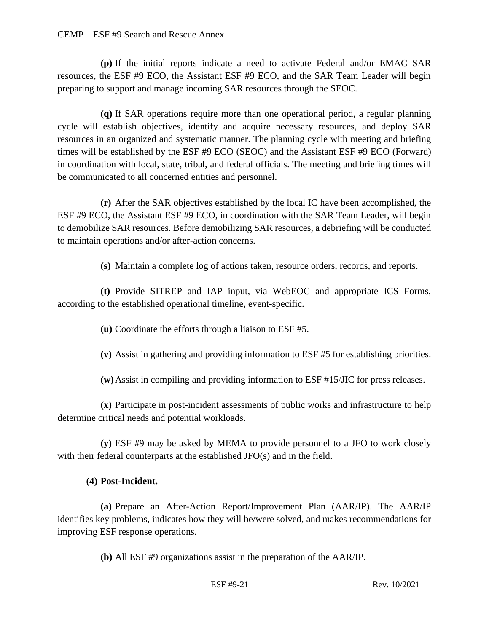#### CEMP – ESF #9 Search and Rescue Annex

**(p)** If the initial reports indicate a need to activate Federal and/or EMAC SAR resources, the ESF #9 ECO, the Assistant ESF #9 ECO, and the SAR Team Leader will begin preparing to support and manage incoming SAR resources through the SEOC.

**(q)** If SAR operations require more than one operational period, a regular planning cycle will establish objectives, identify and acquire necessary resources, and deploy SAR resources in an organized and systematic manner. The planning cycle with meeting and briefing times will be established by the ESF #9 ECO (SEOC) and the Assistant ESF #9 ECO (Forward) in coordination with local, state, tribal, and federal officials. The meeting and briefing times will be communicated to all concerned entities and personnel.

**(r)** After the SAR objectives established by the local IC have been accomplished, the ESF #9 ECO, the Assistant ESF #9 ECO, in coordination with the SAR Team Leader, will begin to demobilize SAR resources. Before demobilizing SAR resources, a debriefing will be conducted to maintain operations and/or after-action concerns.

**(s)** Maintain a complete log of actions taken, resource orders, records, and reports.

**(t)** Provide SITREP and IAP input, via WebEOC and appropriate ICS Forms, according to the established operational timeline, event-specific.

**(u)** Coordinate the efforts through a liaison to ESF #5.

**(v)** Assist in gathering and providing information to ESF #5 for establishing priorities.

**(w)**Assist in compiling and providing information to ESF #15/JIC for press releases.

**(x)** Participate in post-incident assessments of public works and infrastructure to help determine critical needs and potential workloads.

**(y)** ESF #9 may be asked by MEMA to provide personnel to a JFO to work closely with their federal counterparts at the established JFO(s) and in the field.

#### **(4) Post-Incident.**

**(a)** Prepare an After-Action Report/Improvement Plan (AAR/IP). The AAR/IP identifies key problems, indicates how they will be/were solved, and makes recommendations for improving ESF response operations.

**(b)** All ESF #9 organizations assist in the preparation of the AAR/IP.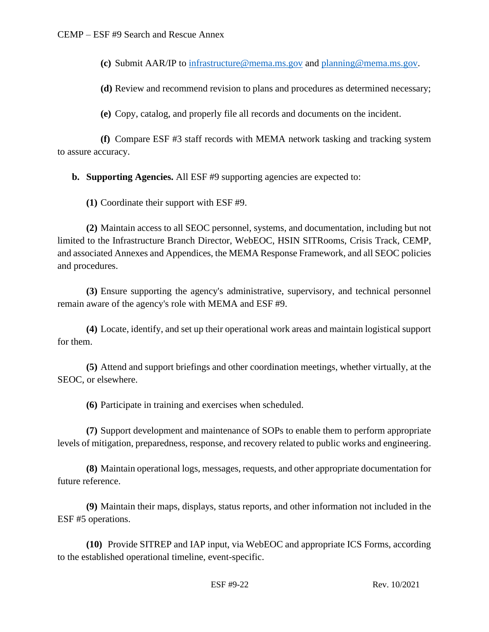**(c)** Submit AAR/IP to [infrastructure@mema.ms.gov](mailto:infrastructure@mema.ms.gov) and [planning@mema.ms.gov.](mailto:planning@mema.ms.gov)

**(d)** Review and recommend revision to plans and procedures as determined necessary;

**(e)** Copy, catalog, and properly file all records and documents on the incident.

**(f)** Compare ESF #3 staff records with MEMA network tasking and tracking system to assure accuracy.

**b. Supporting Agencies.** All ESF #9 supporting agencies are expected to:

**(1)** Coordinate their support with ESF #9.

**(2)** Maintain access to all SEOC personnel, systems, and documentation, including but not limited to the Infrastructure Branch Director, WebEOC, HSIN SITRooms, Crisis Track, CEMP, and associated Annexes and Appendices, the MEMA Response Framework, and all SEOC policies and procedures.

**(3)** Ensure supporting the agency's administrative, supervisory, and technical personnel remain aware of the agency's role with MEMA and ESF #9.

**(4)** Locate, identify, and set up their operational work areas and maintain logistical support for them.

**(5)** Attend and support briefings and other coordination meetings, whether virtually, at the SEOC, or elsewhere.

**(6)** Participate in training and exercises when scheduled.

**(7)** Support development and maintenance of SOPs to enable them to perform appropriate levels of mitigation, preparedness, response, and recovery related to public works and engineering.

**(8)** Maintain operational logs, messages, requests, and other appropriate documentation for future reference.

**(9)** Maintain their maps, displays, status reports, and other information not included in the ESF #5 operations.

**(10)** Provide SITREP and IAP input, via WebEOC and appropriate ICS Forms, according to the established operational timeline, event-specific.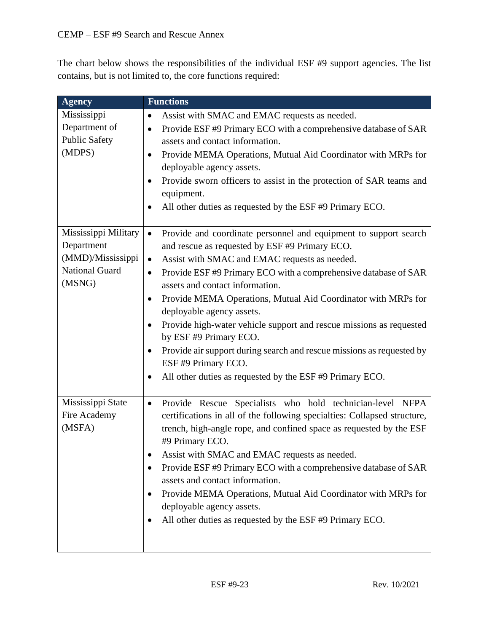The chart below shows the responsibilities of the individual ESF #9 support agencies. The list contains, but is not limited to, the core functions required:

| <b>Agency</b>         | <b>Functions</b>                                                                                                |
|-----------------------|-----------------------------------------------------------------------------------------------------------------|
| Mississippi           | Assist with SMAC and EMAC requests as needed.<br>$\bullet$                                                      |
| Department of         | Provide ESF #9 Primary ECO with a comprehensive database of SAR<br>$\bullet$                                    |
| <b>Public Safety</b>  | assets and contact information.                                                                                 |
| (MDPS)                | Provide MEMA Operations, Mutual Aid Coordinator with MRPs for<br>$\bullet$                                      |
|                       | deployable agency assets.                                                                                       |
|                       | Provide sworn officers to assist in the protection of SAR teams and<br>$\bullet$<br>equipment.                  |
|                       | All other duties as requested by the ESF #9 Primary ECO.<br>$\bullet$                                           |
| Mississippi Military  | Provide and coordinate personnel and equipment to support search<br>$\bullet$                                   |
| Department            | and rescue as requested by ESF #9 Primary ECO.                                                                  |
| (MMD)/Mississippi     | Assist with SMAC and EMAC requests as needed.<br>$\bullet$                                                      |
| <b>National Guard</b> | Provide ESF #9 Primary ECO with a comprehensive database of SAR<br>$\bullet$                                    |
| (MSNG)                | assets and contact information.                                                                                 |
|                       | Provide MEMA Operations, Mutual Aid Coordinator with MRPs for<br>$\bullet$                                      |
|                       | deployable agency assets.                                                                                       |
|                       | Provide high-water vehicle support and rescue missions as requested<br>$\bullet$<br>by ESF #9 Primary ECO.      |
|                       | Provide air support during search and rescue missions as requested by<br>$\bullet$<br>ESF #9 Primary ECO.       |
|                       | All other duties as requested by the ESF #9 Primary ECO.<br>$\bullet$                                           |
| Mississippi State     | Provide Rescue Specialists who hold technician-level NFPA<br>$\bullet$                                          |
| Fire Academy          | certifications in all of the following specialties: Collapsed structure,                                        |
| (MSFA)                | trench, high-angle rope, and confined space as requested by the ESF<br>#9 Primary ECO.                          |
|                       | Assist with SMAC and EMAC requests as needed.                                                                   |
|                       | Provide ESF #9 Primary ECO with a comprehensive database of SAR<br>$\bullet$<br>assets and contact information. |
|                       | Provide MEMA Operations, Mutual Aid Coordinator with MRPs for<br>٠<br>deployable agency assets.                 |
|                       | All other duties as requested by the ESF #9 Primary ECO.                                                        |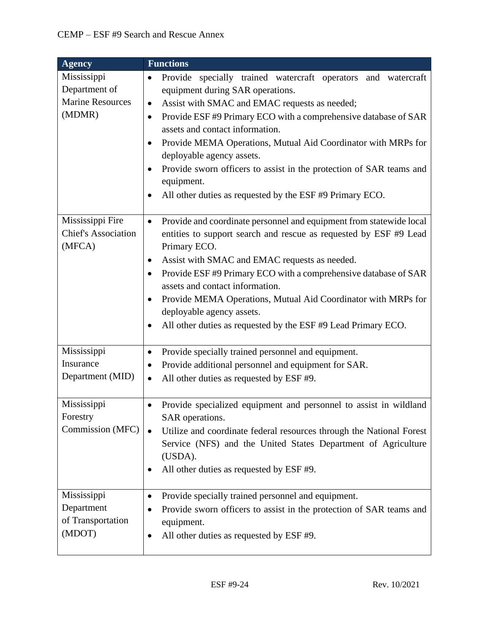| <b>Agency</b>                                                     | <b>Functions</b>                                                                                                                                                                                                                                                                                                                                                                                                                                                                                                                                                                 |
|-------------------------------------------------------------------|----------------------------------------------------------------------------------------------------------------------------------------------------------------------------------------------------------------------------------------------------------------------------------------------------------------------------------------------------------------------------------------------------------------------------------------------------------------------------------------------------------------------------------------------------------------------------------|
| Mississippi<br>Department of<br><b>Marine Resources</b><br>(MDMR) | Provide specially trained watercraft operators<br>and watercraft<br>٠<br>equipment during SAR operations.<br>Assist with SMAC and EMAC requests as needed;<br>$\bullet$<br>Provide ESF #9 Primary ECO with a comprehensive database of SAR<br>$\bullet$<br>assets and contact information.<br>Provide MEMA Operations, Mutual Aid Coordinator with MRPs for<br>$\bullet$<br>deployable agency assets.<br>Provide sworn officers to assist in the protection of SAR teams and<br>$\bullet$<br>equipment.<br>All other duties as requested by the ESF #9 Primary ECO.<br>$\bullet$ |
| Mississippi Fire<br><b>Chief's Association</b><br>(MFCA)          | Provide and coordinate personnel and equipment from statewide local<br>$\bullet$<br>entities to support search and rescue as requested by ESF #9 Lead<br>Primary ECO.<br>Assist with SMAC and EMAC requests as needed.<br>$\bullet$<br>Provide ESF #9 Primary ECO with a comprehensive database of SAR<br>$\bullet$<br>assets and contact information.<br>Provide MEMA Operations, Mutual Aid Coordinator with MRPs for<br>$\bullet$<br>deployable agency assets.<br>All other duties as requested by the ESF #9 Lead Primary ECO.<br>$\bullet$                                  |
| Mississippi<br>Insurance<br>Department (MID)                      | Provide specially trained personnel and equipment.<br>$\bullet$<br>Provide additional personnel and equipment for SAR.<br>$\bullet$<br>All other duties as requested by ESF #9.<br>$\bullet$                                                                                                                                                                                                                                                                                                                                                                                     |
| Mississippi<br>Forestry<br>Commission (MFC)                       | Provide specialized equipment and personnel to assist in wildland<br>$\bullet$<br>SAR operations.<br>Utilize and coordinate federal resources through the National Forest<br>Service (NFS) and the United States Department of Agriculture<br>(USDA).<br>All other duties as requested by ESF #9.                                                                                                                                                                                                                                                                                |
| Mississippi<br>Department<br>of Transportation<br>(MDOT)          | Provide specially trained personnel and equipment.<br>$\bullet$<br>Provide sworn officers to assist in the protection of SAR teams and<br>٠<br>equipment.<br>All other duties as requested by ESF #9.<br>٠                                                                                                                                                                                                                                                                                                                                                                       |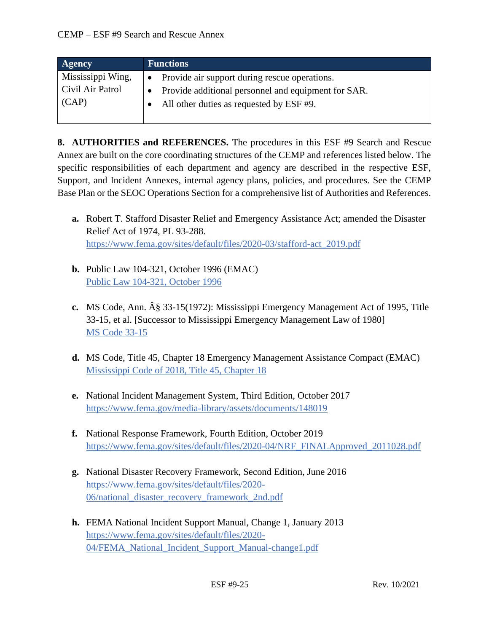| Agency            | <b>Functions</b>                                    |  |
|-------------------|-----------------------------------------------------|--|
| Mississippi Wing, | • Provide air support during rescue operations.     |  |
| Civil Air Patrol  | Provide additional personnel and equipment for SAR. |  |
| (CAP)             | All other duties as requested by ESF #9.            |  |

**8. AUTHORITIES and REFERENCES.** The procedures in this ESF #9 Search and Rescue Annex are built on the core coordinating structures of the CEMP and references listed below. The specific responsibilities of each department and agency are described in the respective ESF, Support, and Incident Annexes, internal agency plans, policies, and procedures. See the CEMP Base Plan or the SEOC Operations Section for a comprehensive list of Authorities and References.

- **a.** Robert T. Stafford Disaster Relief and Emergency Assistance Act; amended the Disaster Relief Act of 1974, PL 93-288. [https://www.fema.gov/sites/default/files/2020-03/stafford-act\\_2019.pdf](https://www.fema.gov/sites/default/files/2020-03/stafford-act_2019.pdf)
- **b.** Public Law 104-321, October 1996 (EMAC) [Public Law 104-321, October 1996](https://www.congress.gov/104/plaws/publ321/PLAW-104publ321.pdf)
- **c.** MS Code, Ann.  $\hat{A}\hat{g}$  33-15(1972): Mississippi Emergency Management Act of 1995, Title 33-15, et al. [Successor to Mississippi Emergency Management Law of 1980] [MS Code 33-15](https://law.justia.com/codes/mississippi/2010/title-33/15/)
- **d.** MS Code, Title 45, Chapter 18 Emergency Management Assistance Compact (EMAC) [Mississippi Code of 2018, Title 45, Chapter 18](https://law.justia.com/codes/mississippi/2018/title-45/chapter-18/)
- **e.** National Incident Management System, Third Edition, October 2017 <https://www.fema.gov/media-library/assets/documents/148019>
- **f.** National Response Framework, Fourth Edition, October 2019 [https://www.fema.gov/sites/default/files/2020-04/NRF\\_FINALApproved\\_2011028.pdf](https://www.fema.gov/sites/default/files/2020-04/NRF_FINALApproved_2011028.pdf)
- **g.** National Disaster Recovery Framework, Second Edition, June 2016 [https://www.fema.gov/sites/default/files/2020-](https://www.fema.gov/sites/default/files/2020-06/national_disaster_recovery_framework_2nd.pdf) [06/national\\_disaster\\_recovery\\_framework\\_2nd.pdf](https://www.fema.gov/sites/default/files/2020-06/national_disaster_recovery_framework_2nd.pdf)
- **h.** FEMA National Incident Support Manual, Change 1, January 2013 [https://www.fema.gov/sites/default/files/2020-](https://www.fema.gov/sites/default/files/2020-04/FEMA_National_Incident_Support_Manual-change1.pdf) [04/FEMA\\_National\\_Incident\\_Support\\_Manual-change1.pdf](https://www.fema.gov/sites/default/files/2020-04/FEMA_National_Incident_Support_Manual-change1.pdf)